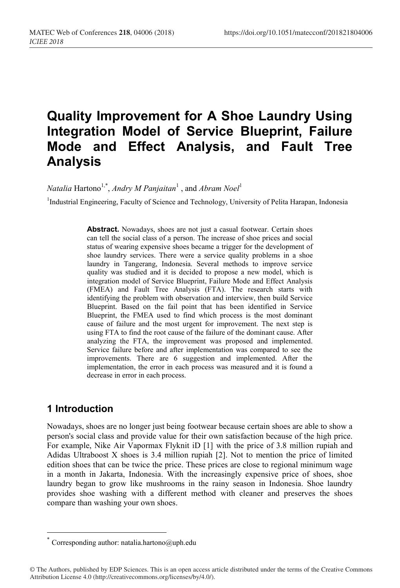# **Quality Improvement for A Shoe Laundry Using Integration Model of Service Blueprint, Failure Mode and Effect Analysis, and Fault Tree Analysis**

 $Natalia\ Harton$ o $^{1,*}$ , *Andry M Panjaitan*<sup>1</sup> , and *Abram Noel*<sup>1</sup>

<sup>1</sup>Industrial Engineering, Faculty of Science and Technology, University of Pelita Harapan, Indonesia

**Abstract.** Nowadays, shoes are not just a casual footwear. Certain shoes can tell the social class of a person. The increase of shoe prices and social status of wearing expensive shoes became a trigger for the development of shoe laundry services. There were a service quality problems in a shoe laundry in Tangerang, Indonesia. Several methods to improve service quality was studied and it is decided to propose a new model, which is integration model of Service Blueprint, Failure Mode and Effect Analysis (FMEA) and Fault Tree Analysis (FTA). The research starts with identifying the problem with observation and interview, then build Service Blueprint. Based on the fail point that has been identified in Service Blueprint, the FMEA used to find which process is the most dominant cause of failure and the most urgent for improvement. The next step is using FTA to find the root cause of the failure of the dominant cause. After analyzing the FTA, the improvement was proposed and implemented. Service failure before and after implementation was compared to see the improvements. There are 6 suggestion and implemented. After the implementation, the error in each process was measured and it is found a decrease in error in each process.

#### **1 Introduction**

Nowadays, shoes are no longer just being footwear because certain shoes are able to show a person's social class and provide value for their own satisfaction because of the high price. For example, Nike Air Vapormax Flyknit iD [1] with the price of 3.8 million rupiah and Adidas Ultraboost X shoes is 3.4 million rupiah [2]. Not to mention the price of limited edition shoes that can be twice the price. These prices are close to regional minimum wage in a month in Jakarta, Indonesia. With the increasingly expensive price of shoes, shoe laundry began to grow like mushrooms in the rainy season in Indonesia. Shoe laundry provides shoe washing with a different method with cleaner and preserves the shoes compare than washing your own shoes.

<sup>\*</sup> Corresponding author: natalia.hartono@uph.edu

<sup>©</sup> The Authors, published by EDP Sciences. This is an open access article distributed under the terms of the Creative Commons Attribution License 4.0 (http://creativecommons.org/licenses/by/4.0/).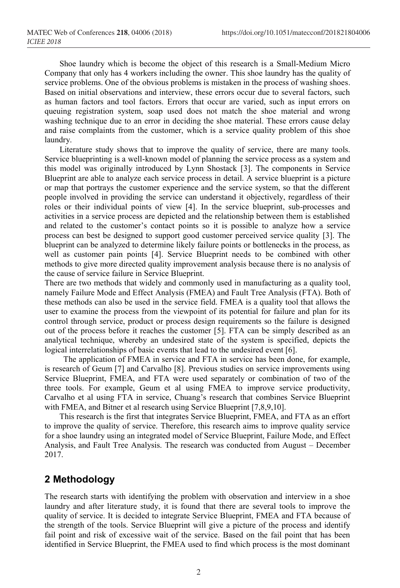Shoe laundry which is become the object of this research is a Small-Medium Micro Company that only has 4 workers including the owner. This shoe laundry has the quality of service problems. One of the obvious problems is mistaken in the process of washing shoes. Based on initial observations and interview, these errors occur due to several factors, such as human factors and tool factors. Errors that occur are varied, such as input errors on queuing registration system, soap used does not match the shoe material and wrong washing technique due to an error in deciding the shoe material. These errors cause delay and raise complaints from the customer, which is a service quality problem of this shoe laundry.

Literature study shows that to improve the quality of service, there are many tools. Service blueprinting is a well-known model of planning the service process as a system and this model was originally introduced by Lynn Shostack [3]. The components in Service Blueprint are able to analyze each service process in detail. A service blueprint is a picture or map that portrays the customer experience and the service system, so that the different people involved in providing the service can understand it objectively, regardless of their roles or their individual points of view [4]. In the service blueprint, sub-processes and activities in a service process are depicted and the relationship between them is established and related to the customer's contact points so it is possible to analyze how a service process can best be designed to support good customer perceived service quality [3]. The blueprint can be analyzed to determine likely failure points or bottlenecks in the process, as well as customer pain points [4]. Service Blueprint needs to be combined with other methods to give more directed quality improvement analysis because there is no analysis of the cause of service failure in Service Blueprint.

There are two methods that widely and commonly used in manufacturing as a quality tool, namely Failure Mode and Effect Analysis (FMEA) and Fault Tree Analysis (FTA). Both of these methods can also be used in the service field. FMEA is a quality tool that allows the user to examine the process from the viewpoint of its potential for failure and plan for its control through service, product or process design requirements so the failure is designed out of the process before it reaches the customer [5]. FTA can be simply described as an analytical technique, whereby an undesired state of the system is specified, depicts the logical interrelationships of basic events that lead to the undesired event [6].

The application of FMEA in service and FTA in service has been done, for example, is research of Geum [7] and Carvalho [8]. Previous studies on service improvements using Service Blueprint, FMEA, and FTA were used separately or combination of two of the three tools. For example, Geum et al using FMEA to improve service productivity, Carvalho et al using FTA in service, Chuang's research that combines Service Blueprint with FMEA, and Bitner et al research using Service Blueprint [7,8,9,10].

This research is the first that integrates Service Blueprint, FMEA, and FTA as an effort to improve the quality of service. Therefore, this research aims to improve quality service for a shoe laundry using an integrated model of Service Blueprint, Failure Mode, and Effect Analysis, and Fault Tree Analysis. The research was conducted from August – December 2017.

#### **2 Methodology**

The research starts with identifying the problem with observation and interview in a shoe laundry and after literature study, it is found that there are several tools to improve the quality of service. It is decided to integrate Service Blueprint, FMEA and FTA because of the strength of the tools. Service Blueprint will give a picture of the process and identify fail point and risk of excessive wait of the service. Based on the fail point that has been identified in Service Blueprint, the FMEA used to find which process is the most dominant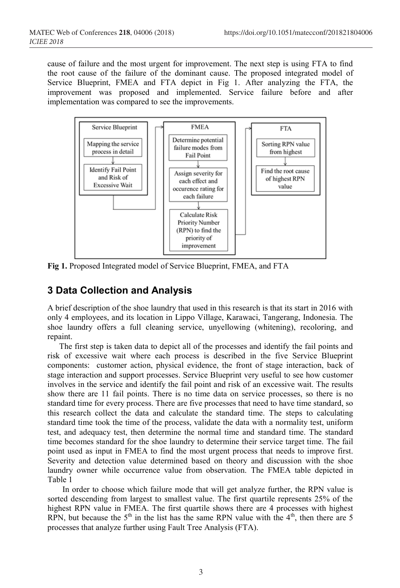cause of failure and the most urgent for improvement. The next step is using FTA to find the root cause of the failure of the dominant cause. The proposed integrated model of Service Blueprint, FMEA and FTA depict in Fig 1. After analyzing the FTA, the improvement was proposed and implemented. Service failure before and after implementation was compared to see the improvements.



**Fig 1.** Proposed Integrated model of Service Blueprint, FMEA, and FTA

#### **3 Data Collection and Analysis**

A brief description of the shoe laundry that used in this research is that its start in 2016 with only 4 employees, and its location in Lippo Village, Karawaci, Tangerang, Indonesia. The shoe laundry offers a full cleaning service, unyellowing (whitening), recoloring, and repaint.

The first step is taken data to depict all of the processes and identify the fail points and risk of excessive wait where each process is described in the five Service Blueprint components: customer action, physical evidence, the front of stage interaction, back of stage interaction and support processes. Service Blueprint very useful to see how customer involves in the service and identify the fail point and risk of an excessive wait. The results show there are 11 fail points. There is no time data on service processes, so there is no standard time for every process. There are five processes that need to have time standard, so this research collect the data and calculate the standard time. The steps to calculating standard time took the time of the process, validate the data with a normality test, uniform test, and adequacy test, then determine the normal time and standard time. The standard time becomes standard for the shoe laundry to determine their service target time. The fail point used as input in FMEA to find the most urgent process that needs to improve first. Severity and detection value determined based on theory and discussion with the shoe laundry owner while occurrence value from observation. The FMEA table depicted in Table 1

In order to choose which failure mode that will get analyze further, the RPN value is sorted descending from largest to smallest value. The first quartile represents 25% of the highest RPN value in FMEA. The first quartile shows there are 4 processes with highest RPN, but because the  $5<sup>th</sup>$  in the list has the same RPN value with the  $4<sup>th</sup>$ , then there are 5 processes that analyze further using Fault Tree Analysis (FTA).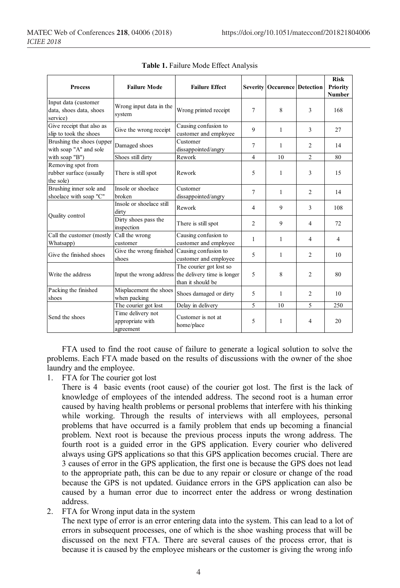| <b>Process</b>                                              | <b>Failure Mode</b>                                | <b>Failure Effect</b>                                                                               |                | <b>Severity Occurence Detection</b> |                | <b>Risk</b><br>Priority<br><b>Number</b> |
|-------------------------------------------------------------|----------------------------------------------------|-----------------------------------------------------------------------------------------------------|----------------|-------------------------------------|----------------|------------------------------------------|
| Input data (customer<br>data, shoes data, shoes<br>service) | Wrong input data in the<br>system                  | Wrong printed receipt                                                                               | 7              | 8                                   | 3              | 168                                      |
| Give receipt that also as<br>slip to took the shoes         | Give the wrong receipt                             | Causing confusion to<br>customer and employee                                                       | 9              | 1                                   | 3              | 27                                       |
| Brushing the shoes (upper<br>with soap "A" and sole         | Damaged shoes                                      | Customer<br>dissappointed/angry                                                                     | 7              | 1                                   | 2              | 14                                       |
| with soap "B")                                              | Shoes still dirty                                  | Rework                                                                                              | 4              | 10                                  | $\overline{c}$ | 80                                       |
| Removing spot from<br>rubber surface (usually<br>the sole)  | There is still spot                                | Rework                                                                                              | 5              | 1                                   | 3              | 15                                       |
| Brushing inner sole and<br>shoelace with soap "C"           | Insole or shoelace<br>broken                       | Customer<br>dissappointed/angry                                                                     | $\overline{7}$ | 1                                   | $\overline{c}$ | 14                                       |
| Quality control                                             | Insole or shoelace still<br>dirtv                  | Rework                                                                                              | 4              | 9                                   | 3              | 108                                      |
|                                                             | Dirty shoes pass the<br>inspection                 | There is still spot                                                                                 | $\overline{2}$ | 9                                   | 4              | 72                                       |
| Call the customer (mostly<br>Whatsapp)                      | Call the wrong<br>customer                         | Causing confusion to<br>customer and employee                                                       | 1              | 1                                   | 4              | $\overline{4}$                           |
| Give the finished shoes                                     | Give the wrong finished<br>shoes                   | Causing confusion to<br>customer and employee                                                       | 5              | 1                                   | 2              | 10                                       |
| Write the address                                           |                                                    | The courier got lost so<br>Input the wrong address the delivery time is longer<br>than it should be | 5              | 8                                   | $\overline{c}$ | 80                                       |
| Packing the finished<br>shoes                               | Misplacement the shoes<br>when packing             | Shoes damaged or dirty                                                                              | 5              | 1                                   | 2              | 10                                       |
|                                                             | The courier got lost                               | Delay in delivery                                                                                   | $\varsigma$    | 10                                  | 5              | 250                                      |
| Send the shoes                                              | Time delivery not<br>appropriate with<br>agreement | Customer is not at<br>home/place                                                                    | 5              | 1                                   | 4              | 20                                       |

**Table 1.** Failure Mode Effect Analysis

FTA used to find the root cause of failure to generate a logical solution to solve the problems. Each FTA made based on the results of discussions with the owner of the shoe laundry and the employee.

1. FTA for The courier got lost

There is 4 basic events (root cause) of the courier got lost. The first is the lack of knowledge of employees of the intended address. The second root is a human error caused by having health problems or personal problems that interfere with his thinking while working. Through the results of interviews with all employees, personal problems that have occurred is a family problem that ends up becoming a financial problem. Next root is because the previous process inputs the wrong address. The fourth root is a guided error in the GPS application. Every courier who delivered always using GPS applications so that this GPS application becomes crucial. There are 3 causes of error in the GPS application, the first one is because the GPS does not lead to the appropriate path, this can be due to any repair or closure or change of the road because the GPS is not updated. Guidance errors in the GPS application can also be caused by a human error due to incorrect enter the address or wrong destination address.

2. FTA for Wrong input data in the system

The next type of error is an error entering data into the system. This can lead to a lot of errors in subsequent processes, one of which is the shoe washing process that will be discussed on the next FTA. There are several causes of the process error, that is because it is caused by the employee mishears or the customer is giving the wrong info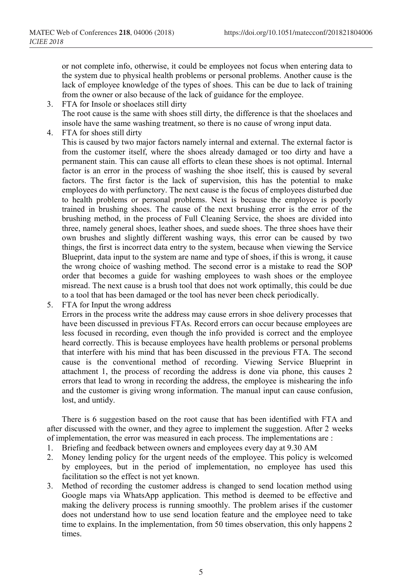or not complete info, otherwise, it could be employees not focus when entering data to the system due to physical health problems or personal problems. Another cause is the lack of employee knowledge of the types of shoes. This can be due to lack of training from the owner or also because of the lack of guidance for the employee.

- 3. FTA for Insole or shoelaces still dirty The root cause is the same with shoes still dirty, the difference is that the shoelaces and insole have the same washing treatment, so there is no cause of wrong input data.
- 4. FTA for shoes still dirty
	- This is caused by two major factors namely internal and external. The external factor is from the customer itself, where the shoes already damaged or too dirty and have a permanent stain. This can cause all efforts to clean these shoes is not optimal. Internal factor is an error in the process of washing the shoe itself, this is caused by several factors. The first factor is the lack of supervision, this has the potential to make employees do with perfunctory. The next cause is the focus of employees disturbed due to health problems or personal problems. Next is because the employee is poorly trained in brushing shoes. The cause of the next brushing error is the error of the brushing method, in the process of Full Cleaning Service, the shoes are divided into three, namely general shoes, leather shoes, and suede shoes. The three shoes have their own brushes and slightly different washing ways, this error can be caused by two things, the first is incorrect data entry to the system, because when viewing the Service Blueprint, data input to the system are name and type of shoes, if this is wrong, it cause the wrong choice of washing method. The second error is a mistake to read the SOP order that becomes a guide for washing employees to wash shoes or the employee misread. The next cause is a brush tool that does not work optimally, this could be due to a tool that has been damaged or the tool has never been check periodically.

5. FTA for Input the wrong address

Errors in the process write the address may cause errors in shoe delivery processes that have been discussed in previous FTAs. Record errors can occur because employees are less focused in recording, even though the info provided is correct and the employee heard correctly. This is because employees have health problems or personal problems that interfere with his mind that has been discussed in the previous FTA. The second cause is the conventional method of recording. Viewing Service Blueprint in attachment 1, the process of recording the address is done via phone, this causes 2 errors that lead to wrong in recording the address, the employee is mishearing the info and the customer is giving wrong information. The manual input can cause confusion, lost, and untidy.

There is 6 suggestion based on the root cause that has been identified with FTA and after discussed with the owner, and they agree to implement the suggestion. After 2 weeks of implementation, the error was measured in each process. The implementations are :

- 1. Briefing and feedback between owners and employees every day at 9.30 AM
- 2. Money lending policy for the urgent needs of the employee. This policy is welcomed by employees, but in the period of implementation, no employee has used this facilitation so the effect is not yet known.
- 3. Method of recording the customer address is changed to send location method using Google maps via WhatsApp application. This method is deemed to be effective and making the delivery process is running smoothly. The problem arises if the customer does not understand how to use send location feature and the employee need to take time to explains. In the implementation, from 50 times observation, this only happens 2 times.